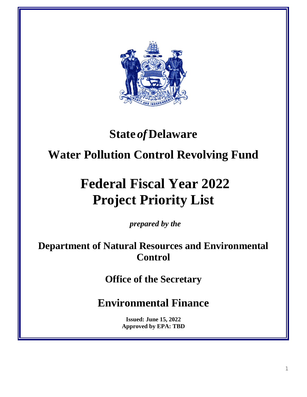

## **State** *of***Delaware**

## **Water Pollution Control Revolving Fund**

# **Federal Fiscal Year 2022 Project Priority List**

*prepared by the*

**Department of Natural Resources and Environmental Control**

**Office of the Secretary**

**Environmental Finance**

**Issued: June 15, 2022 Approved by EPA: TBD**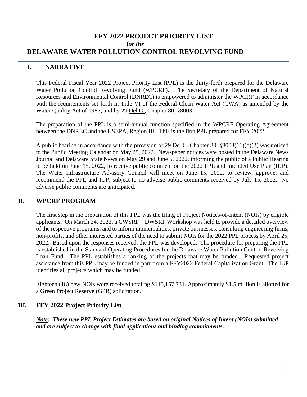#### **FFY 2022 PROJECT PRIORITY LIST** *for the* **DELAWARE WATER POLLUTION CONTROL REVOLVING FUND**

### **I. NARRATIVE**

This Federal Fiscal Year 2022 Project Priority List (PPL) is the thirty-forth prepared for the Delaware Water Pollution Control Revolving Fund (WPCRF). The Secretary of the Department of Natural Resources and Environmental Control (DNREC) is empowered to administer the WPCRF in accordance with the requirements set forth in Title VI of the Federal Clean Water Act (CWA) as amended by the Water Quality Act of 1987, and by 29 Del C., Chapter 80, §8003.

The preparation of the PPL is a semi-annual function specified in the WPCRF Operating Agreement between the DNREC and the USEPA, Region III. This is the first PPL prepared for FFY 2022.

A public hearing in accordance with the provision of 29 Del C. Chapter 80, §8003(11)(d)(2) was noticed to the Public Meeting Calendar on May 25, 2022. Newspaper notices were posted in the Delaware News Journal and Delaware State News on May 29 and June 5, 2022, informing the public of a Public Hearing to be held on June 15, 2022, to receive public comment on the 2022 PPL and Intended Use Plan (IUP). The Water Infrastructure Advisory Council will meet on June 15, 2022, to review, approve, and recommend the PPL and IUP; subject to no adverse public comments received by July 15, 2022. No adverse public comments are anticipated.

#### **II. WPCRF PROGRAM**

The first step in the preparation of this PPL was the filing of Project Notices-of-Intent (NOIs) by eligible applicants. On March 24, 2022, a CWSRF – DWSRF Workshop was held to provide a detailed overview of the respective programs; and to inform municipalities, private businesses, consulting engineering firms, non-profits, and other interested parties of the need to submit NOIs for the 2022 PPL process by April 25, 2022. Based upon the responses received, the PPL was developed. The procedure for preparing the PPL is established in the Standard Operating Procedures for the Delaware Water Pollution Control Revolving Loan Fund. The PPL establishes a ranking of the projects that may be funded. Requested project assistance from this PPL may be funded in part from a FFY2022 Federal Capitalization Grant. The IUP identifies all projects which may be funded.

Eighteen (18) new NOIs were received totaling \$115,157,731. Approximately \$1.5 million is allotted for a Green Project Reserve (GPR) solicitation.

#### **III. FFY 2022 Project Priority List**

*Note: These new PPL Project Estimates are based on original Notices of Intent (NOIs) submitted and are subject to change with final applications and binding commitments.*